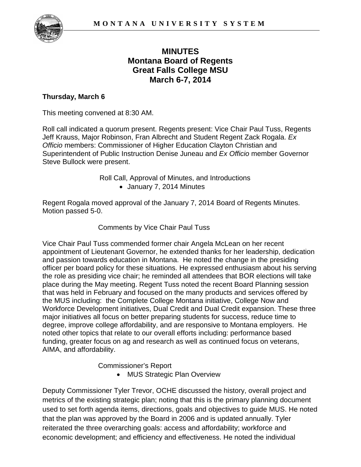

# **MINUTES Montana Board of Regents Great Falls College MSU March 6-7, 2014**

# **Thursday, March 6**

This meeting convened at 8:30 AM.

Roll call indicated a quorum present. Regents present: Vice Chair Paul Tuss, Regents Jeff Krauss, Major Robinson, Fran Albrecht and Student Regent Zack Rogala. *Ex Officio* members: Commissioner of Higher Education Clayton Christian and Superintendent of Public Instruction Denise Juneau and *Ex Officio* member Governor Steve Bullock were present.

> Roll Call, Approval of Minutes, and Introductions • January 7, 2014 Minutes

Regent Rogala moved approval of the January 7, 2014 Board of Regents Minutes. Motion passed 5-0.

Comments by Vice Chair Paul Tuss

Vice Chair Paul Tuss commended former chair Angela McLean on her recent appointment of Lieutenant Governor, he extended thanks for her leadership, dedication and passion towards education in Montana. He noted the change in the presiding officer per board policy for these situations. He expressed enthusiasm about his serving the role as presiding vice chair; he reminded all attendees that BOR elections will take place during the May meeting. Regent Tuss noted the recent Board Planning session that was held in February and focused on the many products and services offered by the MUS including: the Complete College Montana initiative, College Now and Workforce Development initiatives, Dual Credit and Dual Credit expansion. These three major initiatives all focus on better preparing students for success, reduce time to degree, improve college affordability, and are responsive to Montana employers. He noted other topics that relate to our overall efforts including: performance based funding, greater focus on ag and research as well as continued focus on veterans, AIMA, and affordability.

Commissioner's Report

• MUS Strategic Plan Overview

Deputy Commissioner Tyler Trevor, OCHE discussed the history, overall project and metrics of the existing strategic plan; noting that this is the primary planning document used to set forth agenda items, directions, goals and objectives to guide MUS. He noted that the plan was approved by the Board in 2006 and is updated annually. Tyler reiterated the three overarching goals: access and affordability; workforce and economic development; and efficiency and effectiveness. He noted the individual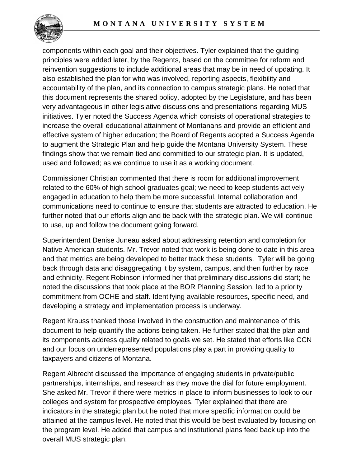

components within each goal and their objectives. Tyler explained that the guiding principles were added later, by the Regents, based on the committee for reform and reinvention suggestions to include additional areas that may be in need of updating. It also established the plan for who was involved, reporting aspects, flexibility and accountability of the plan, and its connection to campus strategic plans. He noted that this document represents the shared policy, adopted by the Legislature, and has been very advantageous in other legislative discussions and presentations regarding MUS initiatives. Tyler noted the Success Agenda which consists of operational strategies to increase the overall educational attainment of Montanans and provide an efficient and effective system of higher education; the Board of Regents adopted a Success Agenda to augment the Strategic Plan and help guide the Montana University System. These findings show that we remain tied and committed to our strategic plan. It is updated, used and followed; as we continue to use it as a working document.

Commissioner Christian commented that there is room for additional improvement related to the 60% of high school graduates goal; we need to keep students actively engaged in education to help them be more successful. Internal collaboration and communications need to continue to ensure that students are attracted to education. He further noted that our efforts align and tie back with the strategic plan. We will continue to use, up and follow the document going forward.

Superintendent Denise Juneau asked about addressing retention and completion for Native American students. Mr. Trevor noted that work is being done to date in this area and that metrics are being developed to better track these students. Tyler will be going back through data and disaggregating it by system, campus, and then further by race and ethnicity. Regent Robinson informed her that preliminary discussions did start; he noted the discussions that took place at the BOR Planning Session, led to a priority commitment from OCHE and staff. Identifying available resources, specific need, and developing a strategy and implementation process is underway.

Regent Krauss thanked those involved in the construction and maintenance of this document to help quantify the actions being taken. He further stated that the plan and its components address quality related to goals we set. He stated that efforts like CCN and our focus on underrepresented populations play a part in providing quality to taxpayers and citizens of Montana.

Regent Albrecht discussed the importance of engaging students in private/public partnerships, internships, and research as they move the dial for future employment. She asked Mr. Trevor if there were metrics in place to inform businesses to look to our colleges and system for prospective employees. Tyler explained that there are indicators in the strategic plan but he noted that more specific information could be attained at the campus level. He noted that this would be best evaluated by focusing on the program level. He added that campus and institutional plans feed back up into the overall MUS strategic plan.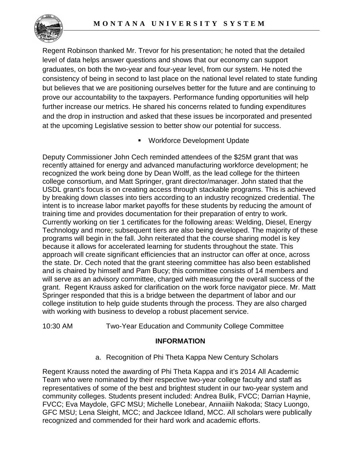

Regent Robinson thanked Mr. Trevor for his presentation; he noted that the detailed level of data helps answer questions and shows that our economy can support graduates, on both the two-year and four-year level, from our system. He noted the consistency of being in second to last place on the national level related to state funding but believes that we are positioning ourselves better for the future and are continuing to prove our accountability to the taxpayers. Performance funding opportunities will help further increase our metrics. He shared his concerns related to funding expenditures and the drop in instruction and asked that these issues be incorporated and presented at the upcoming Legislative session to better show our potential for success.

Workforce Development Update

Deputy Commissioner John Cech reminded attendees of the \$25M grant that was recently attained for energy and advanced manufacturing workforce development; he recognized the work being done by Dean Wolff, as the lead college for the thirteen college consortium, and Matt Springer, grant director/manager. John stated that the USDL grant's focus is on creating access through stackable programs. This is achieved by breaking down classes into tiers according to an industry recognized credential. The intent is to increase labor market payoffs for these students by reducing the amount of training time and provides documentation for their preparation of entry to work. Currently working on tier 1 certificates for the following areas: Welding, Diesel, Energy Technology and more; subsequent tiers are also being developed. The majority of these programs will begin in the fall. John reiterated that the course sharing model is key because it allows for accelerated learning for students throughout the state. This approach will create significant efficiencies that an instructor can offer at once, across the state. Dr. Cech noted that the grant steering committee has also been established and is chaired by himself and Pam Bucy; this committee consists of 14 members and will serve as an advisory committee, charged with measuring the overall success of the grant. Regent Krauss asked for clarification on the work force navigator piece. Mr. Matt Springer responded that this is a bridge between the department of labor and our college institution to help guide students through the process. They are also charged with working with business to develop a robust placement service.

10:30 AM Two-Year Education and Community College Committee

## **INFORMATION**

a. Recognition of Phi Theta Kappa New Century Scholars

Regent Krauss noted the awarding of Phi Theta Kappa and it's 2014 All Academic Team who were nominated by their respective two-year college faculty and staff as representatives of some of the best and brightest student in our two-year system and community colleges. Students present included: Andrea Bulik, FVCC; Darrian Haynie, FVCC; Eva Maydole, GFC MSU; Michelle Lonebear, Annaiiih Nakoda; Stacy Luongo, GFC MSU; Lena Sleight, MCC; and Jackcee Idland, MCC. All scholars were publically recognized and commended for their hard work and academic efforts.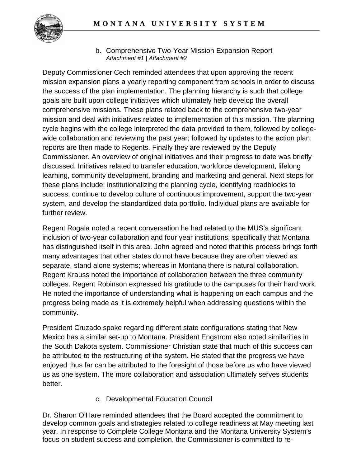

b. Comprehensive Two-Year Mission Expansion Report *Attachment #1 | Attachment #2*

Deputy Commissioner Cech reminded attendees that upon approving the recent mission expansion plans a yearly reporting component from schools in order to discuss the success of the plan implementation. The planning hierarchy is such that college goals are built upon college initiatives which ultimately help develop the overall comprehensive missions. These plans related back to the comprehensive two-year mission and deal with initiatives related to implementation of this mission. The planning cycle begins with the college interpreted the data provided to them, followed by collegewide collaboration and reviewing the past year; followed by updates to the action plan; reports are then made to Regents. Finally they are reviewed by the Deputy Commissioner. An overview of original initiatives and their progress to date was briefly discussed. Initiatives related to transfer education, workforce development, lifelong learning, community development, branding and marketing and general. Next steps for these plans include: institutionalizing the planning cycle, identifying roadblocks to success, continue to develop culture of continuous improvement, support the two-year system, and develop the standardized data portfolio. Individual plans are available for further review.

Regent Rogala noted a recent conversation he had related to the MUS's significant inclusion of two-year collaboration and four year institutions; specifically that Montana has distinguished itself in this area. John agreed and noted that this process brings forth many advantages that other states do not have because they are often viewed as separate, stand alone systems; whereas in Montana there is natural collaboration. Regent Krauss noted the importance of collaboration between the three community colleges. Regent Robinson expressed his gratitude to the campuses for their hard work. He noted the importance of understanding what is happening on each campus and the progress being made as it is extremely helpful when addressing questions within the community.

President Cruzado spoke regarding different state configurations stating that New Mexico has a similar set-up to Montana. President Engstrom also noted similarities in the South Dakota system. Commissioner Christian state that much of this success can be attributed to the restructuring of the system. He stated that the progress we have enjoyed thus far can be attributed to the foresight of those before us who have viewed us as one system. The more collaboration and association ultimately serves students better.

# c. Developmental Education Council

Dr. Sharon O'Hare reminded attendees that the Board accepted the commitment to develop common goals and strategies related to college readiness at May meeting last year. In response to Complete College Montana and the Montana University System's focus on student success and completion, the Commissioner is committed to re-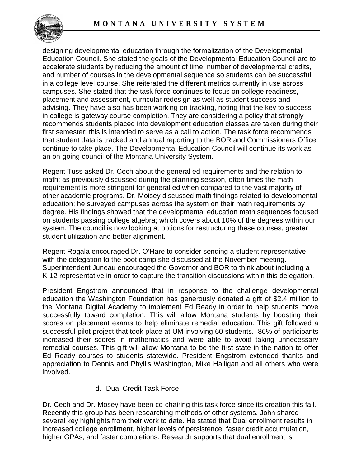

designing developmental education through the formalization of the Developmental Education Council. She stated the goals of the Developmental Education Council are to accelerate students by reducing the amount of time, number of developmental credits, and number of courses in the developmental sequence so students can be successful in a college level course. She reiterated the different metrics currently in use across campuses. She stated that the task force continues to focus on college readiness, placement and assessment, curricular redesign as well as student success and advising. They have also has been working on tracking, noting that the key to success in college is gateway course completion. They are considering a policy that strongly recommends students placed into development education classes are taken during their first semester; this is intended to serve as a call to action. The task force recommends that student data is tracked and annual reporting to the BOR and Commissioners Office continue to take place. The Developmental Education Council will continue its work as an on-going council of the Montana University System.

Regent Tuss asked Dr. Cech about the general ed requirements and the relation to math; as previously discussed during the planning session, often times the math requirement is more stringent for general ed when compared to the vast majority of other academic programs. Dr. Moisey discussed math findings related to developmental education; he surveyed campuses across the system on their math requirements by degree. His findings showed that the developmental education math sequences focused on students passing college algebra; which covers about 10% of the degrees within our system. The council is now looking at options for restructuring these courses, greater student utilization and better alignment.

Regent Rogala encouraged Dr. O'Hare to consider sending a student representative with the delegation to the boot camp she discussed at the November meeting. Superintendent Juneau encouraged the Governor and BOR to think about including a K-12 representative in order to capture the transition discussions within this delegation.

President Engstrom announced that in response to the challenge developmental education the Washington Foundation has generously donated a gift of \$2.4 million to the Montana Digital Academy to implement Ed Ready in order to help students move successfully toward completion. This will allow Montana students by boosting their scores on placement exams to help eliminate remedial education. This gift followed a successful pilot project that took place at UM involving 60 students. 86% of participants increased their scores in mathematics and were able to avoid taking unnecessary remedial courses. This gift will allow Montana to be the first state in the nation to offer Ed Ready courses to students statewide. President Engstrom extended thanks and appreciation to Dennis and Phyllis Washington, Mike Halligan and all others who were involved.

## d. Dual Credit Task Force

Dr. Cech and Dr. Mosey have been co-chairing this task force since its creation this fall. Recently this group has been researching methods of other systems. John shared several key highlights from their work to date. He stated that Dual enrollment results in increased college enrollment, higher levels of persistence, faster credit accumulation, higher GPAs, and faster completions. Research supports that dual enrollment is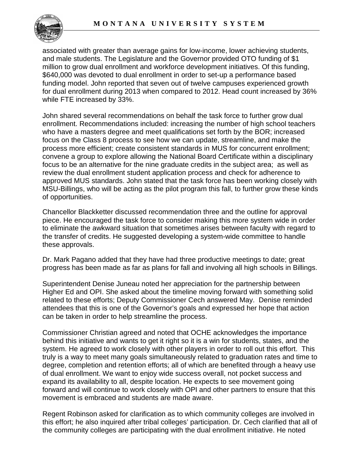

associated with greater than average gains for low-income, lower achieving students, and male students. The Legislature and the Governor provided OTO funding of \$1 million to grow dual enrollment and workforce development initiatives. Of this funding, \$640,000 was devoted to dual enrollment in order to set-up a performance based funding model. John reported that seven out of twelve campuses experienced growth for dual enrollment during 2013 when compared to 2012. Head count increased by 36% while FTE increased by 33%.

John shared several recommendations on behalf the task force to further grow dual enrollment. Recommendations included: increasing the number of high school teachers who have a masters degree and meet qualifications set forth by the BOR; increased focus on the Class 8 process to see how we can update, streamline, and make the process more efficient; create consistent standards in MUS for concurrent enrollment; convene a group to explore allowing the National Board Certificate within a disciplinary focus to be an alternative for the nine graduate credits in the subject area; as well as review the dual enrollment student application process and check for adherence to approved MUS standards. John stated that the task force has been working closely with MSU-Billings, who will be acting as the pilot program this fall, to further grow these kinds of opportunities.

Chancellor Blackketter discussed recommendation three and the outline for approval piece. He encouraged the task force to consider making this more system wide in order to eliminate the awkward situation that sometimes arises between faculty with regard to the transfer of credits. He suggested developing a system-wide committee to handle these approvals.

Dr. Mark Pagano added that they have had three productive meetings to date; great progress has been made as far as plans for fall and involving all high schools in Billings.

Superintendent Denise Juneau noted her appreciation for the partnership between Higher Ed and OPI. She asked about the timeline moving forward with something solid related to these efforts; Deputy Commissioner Cech answered May. Denise reminded attendees that this is one of the Governor's goals and expressed her hope that action can be taken in order to help streamline the process.

Commissioner Christian agreed and noted that OCHE acknowledges the importance behind this initiative and wants to get it right so it is a win for students, states, and the system. He agreed to work closely with other players in order to roll out this effort. This truly is a way to meet many goals simultaneously related to graduation rates and time to degree, completion and retention efforts; all of which are benefited through a heavy use of dual enrollment. We want to enjoy wide success overall, not pocket success and expand its availability to all, despite location. He expects to see movement going forward and will continue to work closely with OPI and other partners to ensure that this movement is embraced and students are made aware.

Regent Robinson asked for clarification as to which community colleges are involved in this effort; he also inquired after tribal colleges' participation. Dr. Cech clarified that all of the community colleges are participating with the dual enrollment initiative. He noted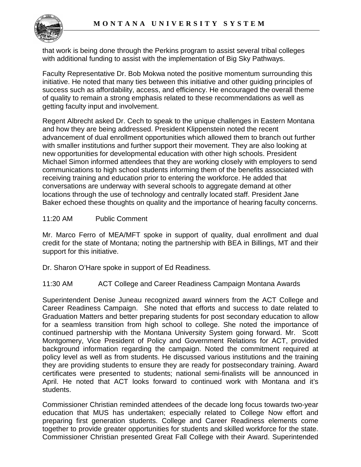

that work is being done through the Perkins program to assist several tribal colleges with additional funding to assist with the implementation of Big Sky Pathways.

Faculty Representative Dr. Bob Mokwa noted the positive momentum surrounding this initiative. He noted that many ties between this initiative and other guiding principles of success such as affordability, access, and efficiency. He encouraged the overall theme of quality to remain a strong emphasis related to these recommendations as well as getting faculty input and involvement.

Regent Albrecht asked Dr. Cech to speak to the unique challenges in Eastern Montana and how they are being addressed. President Klippenstein noted the recent advancement of dual enrollment opportunities which allowed them to branch out further with smaller institutions and further support their movement. They are also looking at new opportunities for developmental education with other high schools. President Michael Simon informed attendees that they are working closely with employers to send communications to high school students informing them of the benefits associated with receiving training and education prior to entering the workforce. He added that conversations are underway with several schools to aggregate demand at other locations through the use of technology and centrally located staff. President Jane Baker echoed these thoughts on quality and the importance of hearing faculty concerns.

# 11:20 AM Public Comment

Mr. Marco Ferro of MEA/MFT spoke in support of quality, dual enrollment and dual credit for the state of Montana; noting the partnership with BEA in Billings, MT and their support for this initiative.

Dr. Sharon O'Hare spoke in support of Ed Readiness.

11:30 AM ACT College and Career Readiness Campaign Montana Awards

Superintendent Denise Juneau recognized award winners from the ACT College and Career Readiness Campaign. She noted that efforts and success to date related to Graduation Matters and better preparing students for post secondary education to allow for a seamless transition from high school to college. She noted the importance of continued partnership with the Montana University System going forward. Mr. Scott Montgomery, Vice President of Policy and Government Relations for ACT, provided background information regarding the campaign. Noted the commitment required at policy level as well as from students. He discussed various institutions and the training they are providing students to ensure they are ready for postsecondary training. Award certificates were presented to students; national semi-finalists will be announced in April. He noted that ACT looks forward to continued work with Montana and it's students.

Commissioner Christian reminded attendees of the decade long focus towards two-year education that MUS has undertaken; especially related to College Now effort and preparing first generation students. College and Career Readiness elements come together to provide greater opportunities for students and skilled workforce for the state. Commissioner Christian presented Great Fall College with their Award. Superintended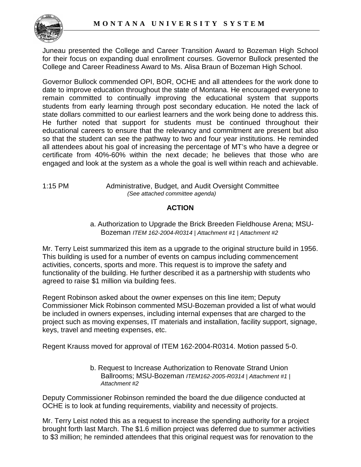

Juneau presented the College and Career Transition Award to Bozeman High School for their focus on expanding dual enrollment courses. Governor Bullock presented the College and Career Readiness Award to Ms. Alisa Braun of Bozeman High School.

Governor Bullock commended OPI, BOR, OCHE and all attendees for the work done to date to improve education throughout the state of Montana. He encouraged everyone to remain committed to continually improving the educational system that supports students from early learning through post secondary education. He noted the lack of state dollars committed to our earliest learners and the work being done to address this. He further noted that support for students must be continued throughout their educational careers to ensure that the relevancy and commitment are present but also so that the student can see the pathway to two and four year institutions. He reminded all attendees about his goal of increasing the percentage of MT's who have a degree or certificate from 40%-60% within the next decade; he believes that those who are engaged and look at the system as a whole the goal is well within reach and achievable.

### 1:15 PM Administrative, Budget, and Audit Oversight Committee *(See attached committee agenda)*

# **ACTION**

# a. Authorization to Upgrade the Brick Breeden Fieldhouse Arena; MSU-Bozeman *ITEM 162-2004-R0314 | Attachment #1 | Attachment #2*

Mr. Terry Leist summarized this item as a upgrade to the original structure build in 1956. This building is used for a number of events on campus including commencement activities, concerts, sports and more. This request is to improve the safety and functionality of the building. He further described it as a partnership with students who agreed to raise \$1 million via building fees.

Regent Robinson asked about the owner expenses on this line item; Deputy Commissioner Mick Robinson commented MSU-Bozeman provided a list of what would be included in owners expenses, including internal expenses that are charged to the project such as moving expenses, IT materials and installation, facility support, signage, keys, travel and meeting expenses, etc.

Regent Krauss moved for approval of ITEM 162-2004-R0314. Motion passed 5-0.

b. Request to Increase Authorization to Renovate Strand Union Ballrooms; MSU-Bozeman *ITEM162-2005-R0314 | Attachment #1 | Attachment #2*

Deputy Commissioner Robinson reminded the board the due diligence conducted at OCHE is to look at funding requirements, viability and necessity of projects.

Mr. Terry Leist noted this as a request to increase the spending authority for a project brought forth last March. The \$1.6 million project was deferred due to summer activities to \$3 million; he reminded attendees that this original request was for renovation to the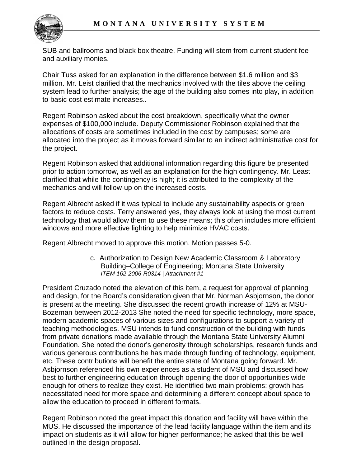

SUB and ballrooms and black box theatre. Funding will stem from current student fee and auxiliary monies.

Chair Tuss asked for an explanation in the difference between \$1.6 million and \$3 million. Mr. Leist clarified that the mechanics involved with the tiles above the ceiling system lead to further analysis; the age of the building also comes into play, in addition to basic cost estimate increases..

Regent Robinson asked about the cost breakdown, specifically what the owner expenses of \$100,000 include. Deputy Commissioner Robinson explained that the allocations of costs are sometimes included in the cost by campuses; some are allocated into the project as it moves forward similar to an indirect administrative cost for the project.

Regent Robinson asked that additional information regarding this figure be presented prior to action tomorrow, as well as an explanation for the high contingency. Mr. Least clarified that while the contingency is high; it is attributed to the complexity of the mechanics and will follow-up on the increased costs.

Regent Albrecht asked if it was typical to include any sustainability aspects or green factors to reduce costs. Terry answered yes, they always look at using the most current technology that would allow them to use these means; this often includes more efficient windows and more effective lighting to help minimize HVAC costs.

Regent Albrecht moved to approve this motion. Motion passes 5-0.

c. Authorization to Design New Academic Classroom & Laboratory Building–College of Engineering; Montana State University *ITEM 162-2006-R0314 | Attachment #1*

President Cruzado noted the elevation of this item, a request for approval of planning and design, for the Board's consideration given that Mr. Norman Asbjornson, the donor is present at the meeting. She discussed the recent growth increase of 12% at MSU-Bozeman between 2012-2013 She noted the need for specific technology, more space, modern academic spaces of various sizes and configurations to support a variety of teaching methodologies. MSU intends to fund construction of the building with funds from private donations made available through the Montana State University Alumni Foundation. She noted the donor's generosity through scholarships, research funds and various generous contributions he has made through funding of technology, equipment, etc. These contributions will benefit the entire state of Montana going forward. Mr. Asbjornson referenced his own experiences as a student of MSU and discussed how best to further engineering education through opening the door of opportunities wide enough for others to realize they exist. He identified two main problems: growth has necessitated need for more space and determining a different concept about space to allow the education to proceed in different formats.

Regent Robinson noted the great impact this donation and facility will have within the MUS. He discussed the importance of the lead facility language within the item and its impact on students as it will allow for higher performance; he asked that this be well outlined in the design proposal.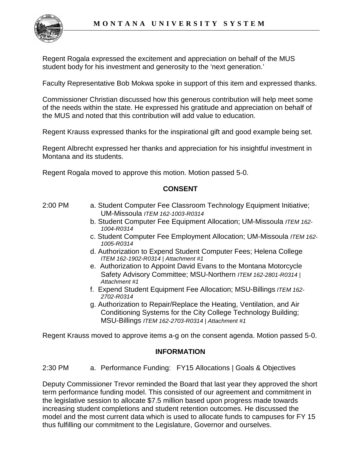

Regent Rogala expressed the excitement and appreciation on behalf of the MUS student body for his investment and generosity to the 'next generation.'

Faculty Representative Bob Mokwa spoke in support of this item and expressed thanks.

Commissioner Christian discussed how this generous contribution will help meet some of the needs within the state. He expressed his gratitude and appreciation on behalf of the MUS and noted that this contribution will add value to education.

Regent Krauss expressed thanks for the inspirational gift and good example being set.

Regent Albrecht expressed her thanks and appreciation for his insightful investment in Montana and its students.

Regent Rogala moved to approve this motion. Motion passed 5-0.

## **CONSENT**

- 2:00 PM a. Student Computer Fee Classroom Technology Equipment Initiative; UM-Missoula *ITEM 162-1003-R0314*
	- b. Student Computer Fee Equipment Allocation; UM-Missoula *ITEM 162- 1004-R0314*
	- c. Student Computer Fee Employment Allocation; UM-Missoula *ITEM 162- 1005-R0314*
	- d. Authorization to Expend Student Computer Fees; Helena College *ITEM 162-1902-R0314 | Attachment #1*
	- e. Authorization to Appoint David Evans to the Montana Motorcycle Safety Advisory Committee; MSU-Northern *ITEM 162-2801-R0314 | Attachment #1*
	- f. Expend Student Equipment Fee Allocation; MSU-Billings *ITEM 162- 2702-R0314*
	- g. Authorization to Repair/Replace the Heating, Ventilation, and Air Conditioning Systems for the City College Technology Building; MSU-Billings *ITEM 162-2703-R0314 | Attachment #1*

Regent Krauss moved to approve items a-g on the consent agenda. Motion passed 5-0.

## **INFORMATION**

2:30 PM a. Performance Funding: FY15 Allocations | Goals & Objectives

Deputy Commissioner Trevor reminded the Board that last year they approved the short term performance funding model. This consisted of our agreement and commitment in the legislative session to allocate \$7.5 million based upon progress made towards increasing student completions and student retention outcomes. He discussed the model and the most current data which is used to allocate funds to campuses for FY 15 thus fulfilling our commitment to the Legislature, Governor and ourselves.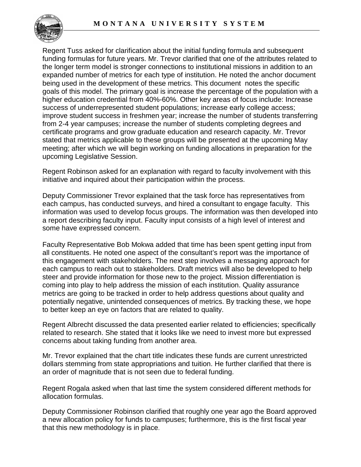

Regent Tuss asked for clarification about the initial funding formula and subsequent funding formulas for future years. Mr. Trevor clarified that one of the attributes related to the longer term model is stronger connections to institutional missions in addition to an expanded number of metrics for each type of institution. He noted the anchor document being used in the development of these metrics. This document notes the specific goals of this model. The primary goal is increase the percentage of the population with a higher education credential from 40%-60%. Other key areas of focus include: Increase success of underrepresented student populations; increase early college access; improve student success in freshmen year; increase the number of students transferring from 2-4 year campuses; increase the number of students completing degrees and certificate programs and grow graduate education and research capacity. Mr. Trevor stated that metrics applicable to these groups will be presented at the upcoming May meeting; after which we will begin working on funding allocations in preparation for the upcoming Legislative Session.

Regent Robinson asked for an explanation with regard to faculty involvement with this initiative and inquired about their participation within the process.

Deputy Commissioner Trevor explained that the task force has representatives from each campus, has conducted surveys, and hired a consultant to engage faculty. This information was used to develop focus groups. The information was then developed into a report describing faculty input. Faculty input consists of a high level of interest and some have expressed concern.

Faculty Representative Bob Mokwa added that time has been spent getting input from all constituents. He noted one aspect of the consultant's report was the importance of this engagement with stakeholders. The next step involves a messaging approach for each campus to reach out to stakeholders. Draft metrics will also be developed to help steer and provide information for those new to the project. Mission differentiation is coming into play to help address the mission of each institution. Quality assurance metrics are going to be tracked in order to help address questions about quality and potentially negative, unintended consequences of metrics. By tracking these, we hope to better keep an eye on factors that are related to quality.

Regent Albrecht discussed the data presented earlier related to efficiencies; specifically related to research. She stated that it looks like we need to invest more but expressed concerns about taking funding from another area.

Mr. Trevor explained that the chart title indicates these funds are current unrestricted dollars stemming from state appropriations and tuition. He further clarified that there is an order of magnitude that is not seen due to federal funding.

Regent Rogala asked when that last time the system considered different methods for allocation formulas.

Deputy Commissioner Robinson clarified that roughly one year ago the Board approved a new allocation policy for funds to campuses; furthermore, this is the first fiscal year that this new methodology is in place.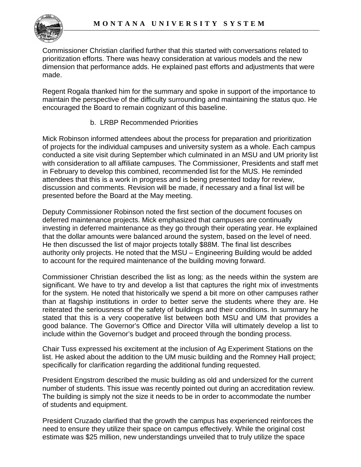

Commissioner Christian clarified further that this started with conversations related to prioritization efforts. There was heavy consideration at various models and the new dimension that performance adds. He explained past efforts and adjustments that were made.

Regent Rogala thanked him for the summary and spoke in support of the importance to maintain the perspective of the difficulty surrounding and maintaining the status quo. He encouraged the Board to remain cognizant of this baseline.

# b. LRBP Recommended Priorities

Mick Robinson informed attendees about the process for preparation and prioritization of projects for the individual campuses and university system as a whole. Each campus conducted a site visit during September which culminated in an MSU and UM priority list with consideration to all affiliate campuses. The Commissioner, Presidents and staff met in February to develop this combined, recommended list for the MUS. He reminded attendees that this is a work in progress and is being presented today for review, discussion and comments. Revision will be made, if necessary and a final list will be presented before the Board at the May meeting.

Deputy Commissioner Robinson noted the first section of the document focuses on deferred maintenance projects. Mick emphasized that campuses are continually investing in deferred maintenance as they go through their operating year. He explained that the dollar amounts were balanced around the system, based on the level of need. He then discussed the list of major projects totally \$88M. The final list describes authority only projects. He noted that the MSU – Engineering Building would be added to account for the required maintenance of the building moving forward.

Commissioner Christian described the list as long; as the needs within the system are significant. We have to try and develop a list that captures the right mix of investments for the system. He noted that historically we spend a bit more on other campuses rather than at flagship institutions in order to better serve the students where they are. He reiterated the seriousness of the safety of buildings and their conditions. In summary he stated that this is a very cooperative list between both MSU and UM that provides a good balance. The Governor's Office and Director Villa will ultimately develop a list to include within the Governor's budget and proceed through the bonding process.

Chair Tuss expressed his excitement at the inclusion of Ag Experiment Stations on the list. He asked about the addition to the UM music building and the Romney Hall project; specifically for clarification regarding the additional funding requested.

President Engstrom described the music building as old and undersized for the current number of students. This issue was recently pointed out during an accreditation review. The building is simply not the size it needs to be in order to accommodate the number of students and equipment.

President Cruzado clarified that the growth the campus has experienced reinforces the need to ensure they utilize their space on campus effectively. While the original cost estimate was \$25 million, new understandings unveiled that to truly utilize the space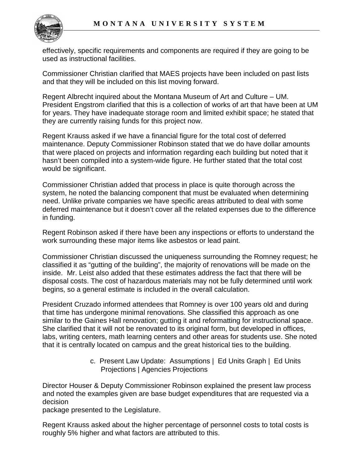

effectively, specific requirements and components are required if they are going to be used as instructional facilities.

Commissioner Christian clarified that MAES projects have been included on past lists and that they will be included on this list moving forward.

Regent Albrecht inquired about the Montana Museum of Art and Culture – UM. President Engstrom clarified that this is a collection of works of art that have been at UM for years. They have inadequate storage room and limited exhibit space; he stated that they are currently raising funds for this project now.

Regent Krauss asked if we have a financial figure for the total cost of deferred maintenance. Deputy Commissioner Robinson stated that we do have dollar amounts that were placed on projects and information regarding each building but noted that it hasn't been compiled into a system-wide figure. He further stated that the total cost would be significant.

Commissioner Christian added that process in place is quite thorough across the system, he noted the balancing component that must be evaluated when determining need. Unlike private companies we have specific areas attributed to deal with some deferred maintenance but it doesn't cover all the related expenses due to the difference in funding.

Regent Robinson asked if there have been any inspections or efforts to understand the work surrounding these major items like asbestos or lead paint.

Commissioner Christian discussed the uniqueness surrounding the Romney request; he classified it as "gutting of the building", the majority of renovations will be made on the inside. Mr. Leist also added that these estimates address the fact that there will be disposal costs. The cost of hazardous materials may not be fully determined until work begins, so a general estimate is included in the overall calculation.

President Cruzado informed attendees that Romney is over 100 years old and during that time has undergone minimal renovations. She classified this approach as one similar to the Gaines Hall renovation; gutting it and reformatting for instructional space. She clarified that it will not be renovated to its original form, but developed in offices, labs, writing centers, math learning centers and other areas for students use. She noted that it is centrally located on campus and the great historical ties to the building.

> c. Present Law Update: Assumptions | Ed Units Graph | Ed Units Projections | Agencies Projections

Director Houser & Deputy Commissioner Robinson explained the present law process and noted the examples given are base budget expenditures that are requested via a decision

package presented to the Legislature.

Regent Krauss asked about the higher percentage of personnel costs to total costs is roughly 5% higher and what factors are attributed to this.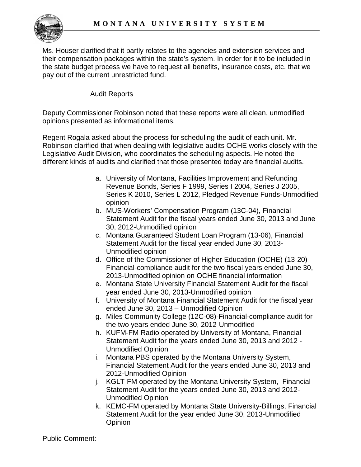

Ms. Houser clarified that it partly relates to the agencies and extension services and their compensation packages within the state's system. In order for it to be included in the state budget process we have to request all benefits, insurance costs, etc. that we pay out of the current unrestricted fund.

# Audit Reports

Deputy Commissioner Robinson noted that these reports were all clean, unmodified opinions presented as informational items.

Regent Rogala asked about the process for scheduling the audit of each unit. Mr. Robinson clarified that when dealing with legislative audits OCHE works closely with the Legislative Audit Division, who coordinates the scheduling aspects. He noted the different kinds of audits and clarified that those presented today are financial audits.

- a. University of Montana, Facilities Improvement and Refunding Revenue Bonds, Series F 1999, Series I 2004, Series J 2005, Series K 2010, Series L 2012, Pledged Revenue Funds-Unmodified opinion
- b. MUS-Workers' Compensation Program (13C-04), Financial Statement Audit for the fiscal years ended June 30, 2013 and June 30, 2012-Unmodified opinion
- c. Montana Guaranteed Student Loan Program (13-06), Financial Statement Audit for the fiscal year ended June 30, 2013- Unmodified opinion
- d. Office of the Commissioner of Higher Education (OCHE) (13-20)- Financial-compliance audit for the two fiscal years ended June 30, 2013-Unmodified opinion on OCHE financial information
- e. Montana State University Financial Statement Audit for the fiscal year ended June 30, 2013-Unmodified opinion
- f. University of Montana Financial Statement Audit for the fiscal year ended June 30, 2013 – Unmodified Opinion
- g. Miles Community College (12C-08)-Financial-compliance audit for the two years ended June 30, 2012-Unmodified
- h. KUFM-FM Radio operated by University of Montana, Financial Statement Audit for the years ended June 30, 2013 and 2012 - Unmodified Opinion
- i. Montana PBS operated by the Montana University System, Financial Statement Audit for the years ended June 30, 2013 and 2012-Unmodified Opinion
- j. KGLT-FM operated by the Montana University System, Financial Statement Audit for the years ended June 30, 2013 and 2012- Unmodified Opinion
- k. KEMC-FM operated by Montana State University-Billings, Financial Statement Audit for the year ended June 30, 2013-Unmodified **Opinion**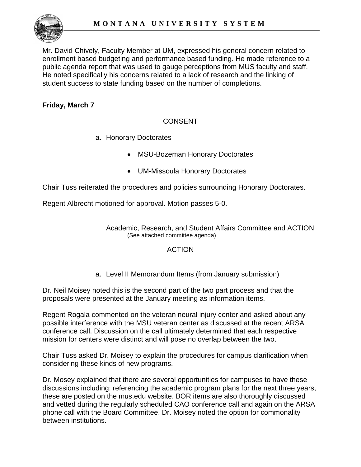

Mr. David Chively, Faculty Member at UM, expressed his general concern related to enrollment based budgeting and performance based funding. He made reference to a public agenda report that was used to gauge perceptions from MUS faculty and staff. He noted specifically his concerns related to a lack of research and the linking of student success to state funding based on the number of completions.

# **Friday, March 7**

# CONSENT

- a. Honorary Doctorates
	- MSU-Bozeman Honorary Doctorates
	- UM-Missoula Honorary Doctorates

Chair Tuss reiterated the procedures and policies surrounding Honorary Doctorates.

Regent Albrecht motioned for approval. Motion passes 5-0.

Academic, Research, and Student Affairs Committee and ACTION (See attached committee agenda)

## ACTION

a. Level II Memorandum Items (from January submission)

Dr. Neil Moisey noted this is the second part of the two part process and that the proposals were presented at the January meeting as information items.

Regent Rogala commented on the veteran neural injury center and asked about any possible interference with the MSU veteran center as discussed at the recent ARSA conference call. Discussion on the call ultimately determined that each respective mission for centers were distinct and will pose no overlap between the two.

Chair Tuss asked Dr. Moisey to explain the procedures for campus clarification when considering these kinds of new programs.

Dr. Mosey explained that there are several opportunities for campuses to have these discussions including: referencing the academic program plans for the next three years, these are posted on the mus.edu website. BOR items are also thoroughly discussed and vetted during the regularly scheduled CAO conference call and again on the ARSA phone call with the Board Committee. Dr. Moisey noted the option for commonality between institutions.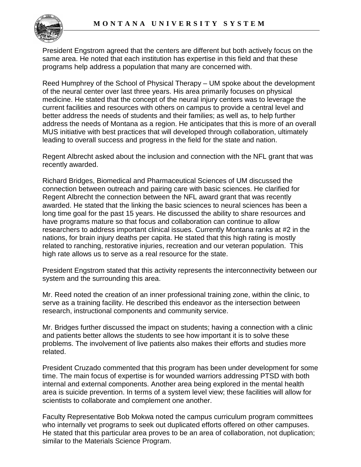

President Engstrom agreed that the centers are different but both actively focus on the same area. He noted that each institution has expertise in this field and that these programs help address a population that many are concerned with.

Reed Humphrey of the School of Physical Therapy – UM spoke about the development of the neural center over last three years. His area primarily focuses on physical medicine. He stated that the concept of the neural injury centers was to leverage the current facilities and resources with others on campus to provide a central level and better address the needs of students and their families; as well as, to help further address the needs of Montana as a region. He anticipates that this is more of an overall MUS initiative with best practices that will developed through collaboration, ultimately leading to overall success and progress in the field for the state and nation.

Regent Albrecht asked about the inclusion and connection with the NFL grant that was recently awarded.

Richard Bridges, Biomedical and Pharmaceutical Sciences of UM discussed the connection between outreach and pairing care with basic sciences. He clarified for Regent Albrecht the connection between the NFL award grant that was recently awarded. He stated that the linking the basic sciences to neural sciences has been a long time goal for the past 15 years. He discussed the ability to share resources and have programs mature so that focus and collaboration can continue to allow researchers to address important clinical issues. Currently Montana ranks at #2 in the nations, for brain injury deaths per capita. He stated that this high rating is mostly related to ranching, restorative injuries, recreation and our veteran population. This high rate allows us to serve as a real resource for the state.

President Engstrom stated that this activity represents the interconnectivity between our system and the surrounding this area.

Mr. Reed noted the creation of an inner professional training zone, within the clinic, to serve as a training facility. He described this endeavor as the intersection between research, instructional components and community service.

Mr. Bridges further discussed the impact on students; having a connection with a clinic and patients better allows the students to see how important it is to solve these problems. The involvement of live patients also makes their efforts and studies more related.

President Cruzado commented that this program has been under development for some time. The main focus of expertise is for wounded warriors addressing PTSD with both internal and external components. Another area being explored in the mental health area is suicide prevention. In terms of a system level view; these facilities will allow for scientists to collaborate and complement one another.

Faculty Representative Bob Mokwa noted the campus curriculum program committees who internally vet programs to seek out duplicated efforts offered on other campuses. He stated that this particular area proves to be an area of collaboration, not duplication; similar to the Materials Science Program.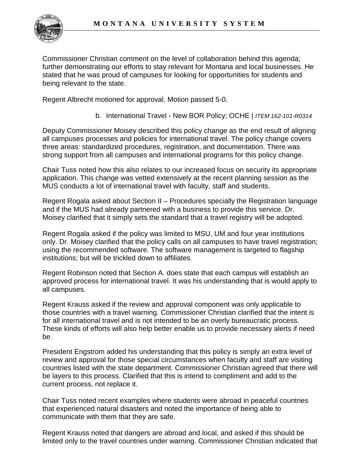

Commissioner Christian comment on the level of collaboration behind this agenda; further demonstrating our efforts to stay relevant for Montana and local businesses. He stated that he was proud of campuses for looking for opportunities for students and being relevant to the state.

Regent Albrecht motioned for approval. Motion passed 5-0.

b. International Travel - New BOR Policy; OCHE | *ITEM 162-101-R0314* 

Deputy Commissioner Moisey described this policy change as the end result of aligning all campuses processes and policies for international travel. The policy change covers three areas: standardized procedures, registration, and documentation. There was strong support from all campuses and international programs for this policy change.

Chair Tuss noted how this also relates to our increased focus on security its appropriate application. This change was vetted extensively at the recent planning session as the MUS conducts a lot of international travel with faculty, staff and students.

Regent Rogala asked about Section II – Procedures specially the Registration language and if the MUS had already partnered with a business to provide this service. Dr. Moisey clarified that it simply sets the standard that a travel registry will be adopted.

Regent Rogala asked if the policy was limited to MSU, UM and four year institutions only. Dr. Moisey clarified that the policy calls on all campuses to have travel registration; using the recommended software. The software management is targeted to flagship institutions; but will be trickled down to affiliates.

Regent Robinson noted that Section A. does state that each campus will establish an approved process for international travel. It was his understanding that is would apply to all campuses.

Regent Krauss asked if the review and approval component was only applicable to those countries with a travel warning. Commissioner Christian clarified that the intent is for all international travel and is not intended to be an overly bureaucratic process. These kinds of efforts will also help better enable us to provide necessary alerts if need be.

President Engstrom added his understanding that this policy is simply an extra level of review and approval for those special circumstances when faculty and staff are visiting countries listed with the state department. Commissioner Christian agreed that there will be layers to this process. Clarified that this is intend to compliment and add to the current process, not replace it.

Chair Tuss noted recent examples where students were abroad in peaceful countries that experienced natural disasters and noted the importance of being able to communicate with them that they are safe.

Regent Krauss noted that dangers are abroad and local, and asked if this should be limited only to the travel countries under warning. Commissioner Christian indicated that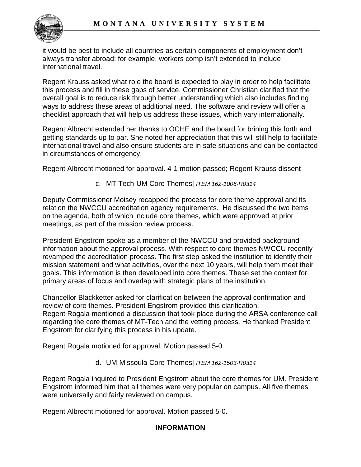

it would be best to include all countries as certain components of employment don't always transfer abroad; for example, workers comp isn't extended to include international travel.

Regent Krauss asked what role the board is expected to play in order to help facilitate this process and fill in these gaps of service. Commissioner Christian clarified that the overall goal is to reduce risk through better understanding which also includes finding ways to address these areas of additional need. The software and review will offer a checklist approach that will help us address these issues, which vary internationally.

Regent Albrecht extended her thanks to OCHE and the board for brining this forth and getting standards up to par. She noted her appreciation that this will still help to facilitate international travel and also ensure students are in safe situations and can be contacted in circumstances of emergency.

Regent Albrecht motioned for approval. 4-1 motion passed; Regent Krauss dissent

c. MT Tech-UM Core Themes| *ITEM 162-1006-R0314*

Deputy Commissioner Moisey recapped the process for core theme approval and its relation the NWCCU accreditation agency requirements. He discussed the two items on the agenda, both of which include core themes, which were approved at prior meetings, as part of the mission review process.

President Engstrom spoke as a member of the NWCCU and provided background information about the approval process. With respect to core themes NWCCU recently revamped the accreditation process. The first step asked the institution to identify their mission statement and what activities, over the next 10 years, will help them meet their goals. This information is then developed into core themes. These set the context for primary areas of focus and overlap with strategic plans of the institution.

Chancellor Blackketter asked for clarification between the approval confirmation and review of core themes. President Engstrom provided this clarification. Regent Rogala mentioned a discussion that took place during the ARSA conference call regarding the core themes of MT-Tech and the vetting process. He thanked President Engstrom for clarifying this process in his update.

Regent Rogala motioned for approval. Motion passed 5-0.

d. UM-Missoula Core Themes| *ITEM 162-1503-R0314*

Regent Rogala inquired to President Engstrom about the core themes for UM. President Engstrom informed him that all themes were very popular on campus. All five themes were universally and fairly reviewed on campus.

Regent Albrecht motioned for approval. Motion passed 5-0.

# **INFORMATION**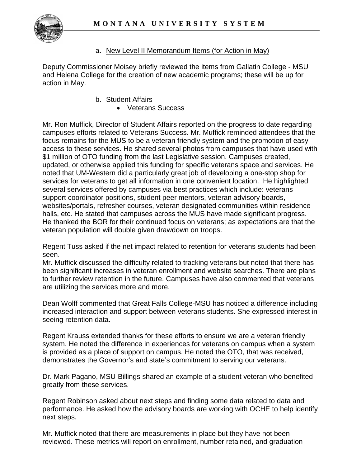

# a. New Level II Memorandum Items (for Action in May)

Deputy Commissioner Moisey briefly reviewed the items from Gallatin College - MSU and Helena College for the creation of new academic programs; these will be up for action in May.

- b. Student Affairs
	- Veterans Success

Mr. Ron Muffick, Director of Student Affairs reported on the progress to date regarding campuses efforts related to Veterans Success. Mr. Muffick reminded attendees that the focus remains for the MUS to be a veteran friendly system and the promotion of easy access to these services. He shared several photos from campuses that have used with \$1 million of OTO funding from the last Legislative session. Campuses created, updated, or otherwise applied this funding for specific veterans space and services. He noted that UM-Western did a particularly great job of developing a one-stop shop for services for veterans to get all information in one convenient location. He highlighted several services offered by campuses via best practices which include: veterans support coordinator positions, student peer mentors, veteran advisory boards, websites/portals, refresher courses, veteran designated communities within residence halls, etc. He stated that campuses across the MUS have made significant progress. He thanked the BOR for their continued focus on veterans; as expectations are that the veteran population will double given drawdown on troops.

Regent Tuss asked if the net impact related to retention for veterans students had been seen.

Mr. Muffick discussed the difficulty related to tracking veterans but noted that there has been significant increases in veteran enrollment and website searches. There are plans to further review retention in the future. Campuses have also commented that veterans are utilizing the services more and more.

Dean Wolff commented that Great Falls College-MSU has noticed a difference including increased interaction and support between veterans students. She expressed interest in seeing retention data.

Regent Krauss extended thanks for these efforts to ensure we are a veteran friendly system. He noted the difference in experiences for veterans on campus when a system is provided as a place of support on campus. He noted the OTO, that was received, demonstrates the Governor's and state's commitment to serving our veterans.

Dr. Mark Pagano, MSU-Billings shared an example of a student veteran who benefited greatly from these services.

Regent Robinson asked about next steps and finding some data related to data and performance. He asked how the advisory boards are working with OCHE to help identify next steps.

Mr. Muffick noted that there are measurements in place but they have not been reviewed. These metrics will report on enrollment, number retained, and graduation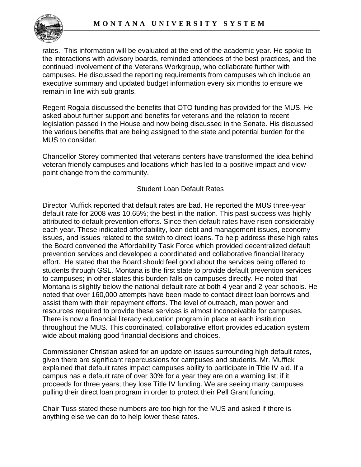

rates. This information will be evaluated at the end of the academic year. He spoke to the interactions with advisory boards, reminded attendees of the best practices, and the continued involvement of the Veterans Workgroup, who collaborate further with campuses. He discussed the reporting requirements from campuses which include an executive summary and updated budget information every six months to ensure we remain in line with sub grants.

Regent Rogala discussed the benefits that OTO funding has provided for the MUS. He asked about further support and benefits for veterans and the relation to recent legislation passed in the House and now being discussed in the Senate. His discussed the various benefits that are being assigned to the state and potential burden for the MUS to consider.

Chancellor Storey commented that veterans centers have transformed the idea behind veteran friendly campuses and locations which has led to a positive impact and view point change from the community.

## Student Loan Default Rates

Director Muffick reported that default rates are bad. He reported the MUS three-year default rate for 2008 was 10.65%; the best in the nation. This past success was highly attributed to default prevention efforts. Since then default rates have risen considerably each year. These indicated affordability, loan debt and management issues, economy issues, and issues related to the switch to direct loans. To help address these high rates the Board convened the Affordability Task Force which provided decentralized default prevention services and developed a coordinated and collaborative financial literacy effort. He stated that the Board should feel good about the services being offered to students through GSL. Montana is the first state to provide default prevention services to campuses; in other states this burden falls on campuses directly. He noted that Montana is slightly below the national default rate at both 4-year and 2-year schools. He noted that over 160,000 attempts have been made to contact direct loan borrows and assist them with their repayment efforts. The level of outreach, man power and resources required to provide these services is almost inconceivable for campuses. There is now a financial literacy education program in place at each institution throughout the MUS. This coordinated, collaborative effort provides education system wide about making good financial decisions and choices.

Commissioner Christian asked for an update on issues surrounding high default rates, given there are significant repercussions for campuses and students. Mr. Muffick explained that default rates impact campuses ability to participate in Title IV aid. If a campus has a default rate of over 30% for a year they are on a warning list; if it proceeds for three years; they lose Title IV funding. We are seeing many campuses pulling their direct loan program in order to protect their Pell Grant funding.

Chair Tuss stated these numbers are too high for the MUS and asked if there is anything else we can do to help lower these rates.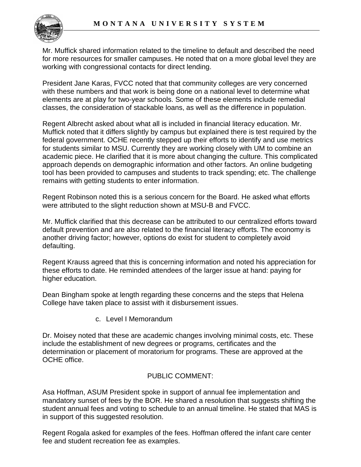

Mr. Muffick shared information related to the timeline to default and described the need for more resources for smaller campuses. He noted that on a more global level they are working with congressional contacts for direct lending.

President Jane Karas, FVCC noted that that community colleges are very concerned with these numbers and that work is being done on a national level to determine what elements are at play for two-year schools. Some of these elements include remedial classes, the consideration of stackable loans, as well as the difference in population.

Regent Albrecht asked about what all is included in financial literacy education. Mr. Muffick noted that it differs slightly by campus but explained there is test required by the federal government. OCHE recently stepped up their efforts to identify and use metrics for students similar to MSU. Currently they are working closely with UM to combine an academic piece. He clarified that it is more about changing the culture. This complicated approach depends on demographic information and other factors. An online budgeting tool has been provided to campuses and students to track spending; etc. The challenge remains with getting students to enter information.

Regent Robinson noted this is a serious concern for the Board. He asked what efforts were attributed to the slight reduction shown at MSU-B and FVCC.

Mr. Muffick clarified that this decrease can be attributed to our centralized efforts toward default prevention and are also related to the financial literacy efforts. The economy is another driving factor; however, options do exist for student to completely avoid defaulting.

Regent Krauss agreed that this is concerning information and noted his appreciation for these efforts to date. He reminded attendees of the larger issue at hand: paying for higher education.

Dean Bingham spoke at length regarding these concerns and the steps that Helena College have taken place to assist with it disbursement issues.

c. Level I Memorandum

Dr. Moisey noted that these are academic changes involving minimal costs, etc. These include the establishment of new degrees or programs, certificates and the determination or placement of moratorium for programs. These are approved at the OCHE office.

# PUBLIC COMMENT:

Asa Hoffman, ASUM President spoke in support of annual fee implementation and mandatory sunset of fees by the BOR. He shared a resolution that suggests shifting the student annual fees and voting to schedule to an annual timeline. He stated that MAS is in support of this suggested resolution.

Regent Rogala asked for examples of the fees. Hoffman offered the infant care center fee and student recreation fee as examples.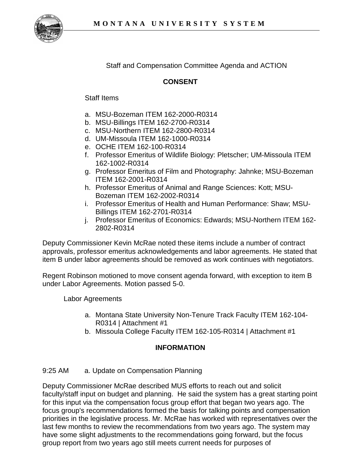

Staff and Compensation Committee Agenda and ACTION

# **CONSENT**

## Staff Items

- a. MSU-Bozeman ITEM 162-2000-R0314
- b. MSU-Billings ITEM 162-2700-R0314
- c. MSU-Northern ITEM 162-2800-R0314
- d. UM-Missoula ITEM 162-1000-R0314
- e. OCHE ITEM 162-100-R0314
- f. Professor Emeritus of Wildlife Biology: Pletscher; UM-Missoula ITEM 162-1002-R0314
- g. Professor Emeritus of Film and Photography: Jahnke; MSU-Bozeman ITEM 162-2001-R0314
- h. Professor Emeritus of Animal and Range Sciences: Kott; MSU-Bozeman ITEM 162-2002-R0314
- i. Professor Emeritus of Health and Human Performance: Shaw; MSU-Billings ITEM 162-2701-R0314
- j. Professor Emeritus of Economics: Edwards; MSU-Northern ITEM 162- 2802-R0314

Deputy Commissioner Kevin McRae noted these items include a number of contract approvals, professor emeritus acknowledgements and labor agreements. He stated that item B under labor agreements should be removed as work continues with negotiators.

Regent Robinson motioned to move consent agenda forward, with exception to item B under Labor Agreements. Motion passed 5-0.

Labor Agreements

- a. Montana State University Non-Tenure Track Faculty ITEM 162-104- R0314 | Attachment #1
- b. Missoula College Faculty ITEM 162-105-R0314 | Attachment #1

# **INFORMATION**

## 9:25 AM a. Update on Compensation Planning

Deputy Commissioner McRae described MUS efforts to reach out and solicit faculty/staff input on budget and planning. He said the system has a great starting point for this input via the compensation focus group effort that began two years ago. The focus group's recommendations formed the basis for talking points and compensation priorities in the legislative process. Mr. McRae has worked with representatives over the last few months to review the recommendations from two years ago. The system may have some slight adjustments to the recommendations going forward, but the focus group report from two years ago still meets current needs for purposes of